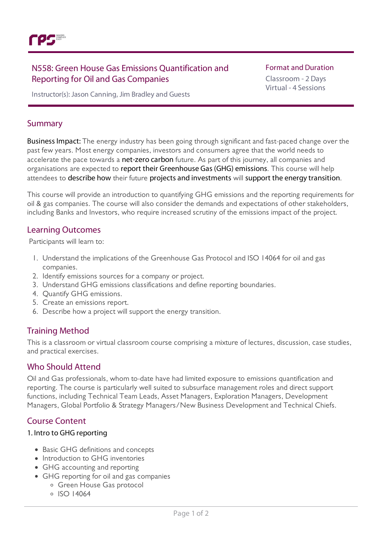

## N558: Green House Gas Emissions Quantification and Reporting for Oil and Gas Companies

#### **Format and Duration**

Classroom - 2 Days Virtual - 4 Sessions

Instructor(s): Jason Canning, Jim Bradley and Guests

## Summary

Business Impact: The energy industry has been going through significant and fast-paced change over the past few years. Most energy companies, investors and consumers agree that the world needs to accelerate the pace towards a net-zero carbon future. As part of this journey, all companies and organisations are expected to report their Greenhouse Gas (GHG) emissions. This course will help attendees to describe how their future projects and investments will support the energy transition.

This course will provide an introduction to quantifying GHG emissions and the reporting requirements for oil & gas companies. The course will also consider the demands and expectations of other stakeholders, including Banks and Investors, who require increased scrutiny of the emissions impact of the project.

## Learning Outcomes

Participants will learn to:

- 1. Understand the implications of the Greenhouse Gas Protocol and ISO 14064 for oil and gas companies.
- 2. Identify emissions sources for a company or project.
- 3. Understand GHG emissions classifications and define reporting boundaries.
- 4. Quantify GHG emissions.
- 5. Create an emissions report.
- 6. Describe how a project will support the energy transition.

## Training Method

This is a classroom or virtual classroom course comprising a mixture of lectures, discussion, case studies, and practical exercises.

### Who Should Attend

Oil and Gas professionals, whom to-date have had limited exposure to emissions quantification and reporting. The course is particularly well suited to subsurface management roles and direct support functions, including Technical Team Leads, Asset Managers, Exploration Managers, Development Managers, Global Portfolio & Strategy Managers/New Business Development and Technical Chiefs.

## Course Content

#### 1. Intro to GHG reporting

- Basic GHG definitions and concepts
- Introduction to GHG inventories
- GHG accounting and reporting
- GHG reporting for oil and gas companies
	- Green House Gas protocol
	- $0$  ISO 14064